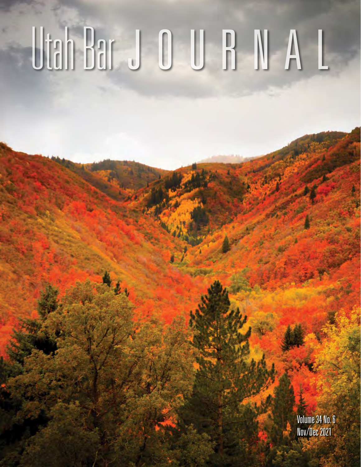# Utah Bar J O U B N A L

Volume 34 No. 6 Nov/Dec 2021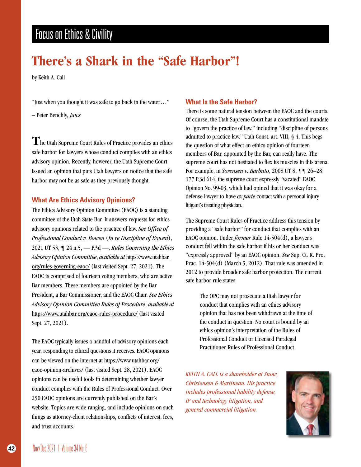## **There's a Shark in the "Safe Harbor"!**

by Keith A. Call

"Just when you thought it was safe to go back in the water…"

– Peter Benchly, *Jaws*

The Utah Supreme Court Rules of Practice provides an ethics safe harbor for lawyers whose conduct complies with an ethics advisory opinion. Recently, however, the Utah Supreme Court issued an opinion that puts Utah lawyers on notice that the safe harbor may not be as safe as they previously thought.

#### **What Are Ethics Advisory Opinions?**

The Ethics Advisory Opinion Committee (EAOC) is a standing committee of the Utah State Bar. It answers requests for ethics advisory opinions related to the practice of law. *See Office of Professional Conduct v. Bowen* (*In re Discipline of Bowen*), 2021 UT 53, ¶ 24 n.5, — P.3d —. *Rules Governing the Ethics Advisory Opinion Committee*, *available at* https://www.utahbar. org/rules-governing-eaoc/ (last visited Sept. 27, 2021). The EAOC is comprised of fourteen voting members, who are active Bar members. These members are appointed by the Bar President, a Bar Commissioner, and the EAOC Chair. *See Ethics Advisory Opinion Committee Rules of Procedure*, *available at* https://www.utahbar.org/eaoc-rules-procedure/ (last visited Sept. 27, 2021).

The EAOC typically issues a handful of advisory opinions each year, responding to ethical questions it receives. EAOC opinions can be viewed on the internet at https://www.utahbar.org/ eaoc-opinion-archives/ (last visited Sept. 28, 2021). EAOC opinions can be useful tools in determining whether lawyer conduct complies with the Rules of Professional Conduct. Over 250 EAOC opinions are currently published on the Bar's website. Topics are wide ranging, and include opinions on such things as attorney-client relationships, conflicts of interest, fees, and trust accounts.

#### **What Is the Safe Harbor?**

There is some natural tension between the EAOC and the courts. Of course, the Utah Supreme Court has a constitutional mandate to "govern the practice of law," including "discipline of persons admitted to practice law." Utah Const. art. VIII, § 4. This begs the question of what effect an ethics opinion of fourteen members of Bar, appointed by the Bar, can really have. The supreme court has not hesitated to flex its muscles in this arena. For example, in *Sorensen v. Barbuto*, 2008 UT 8, ¶¶ 26–28, 177 P.3d 614, the supreme court expressly "vacated" EAOC Opinion No. 99-03, which had opined that it was okay for a defense lawyer to have *ex parte* contact with a personal injury litigant's treating physician.

The Supreme Court Rules of Practice address this tension by providing a "safe harbor" for conduct that complies with an EAOC opinion. Under *former* Rule 14-504(d), a lawyer's conduct fell within the safe harbor if his or her conduct was "expressly approved" by an EAOC opinion. *See* Sup. Ct. R. Pro. Prac. 14-504(d) (March 5, 2012). That rule was amended in 2012 to provide broader safe harbor protection. The current safe harbor rule states:

The OPC may not prosecute a Utah lawyer for conduct that complies with an ethics advisory opinion that has not been withdrawn at the time of the conduct in question. No court is bound by an ethics opinion's interpretation of the Rules of Professional Conduct or Licensed Paralegal Practitioner Rules of Professional Conduct.

*KEITH A. CALL is a shareholder at Snow, Christensen & Martineau. His practice includes professional liability defense, IP and technology litigation, and general commercial litigation.*

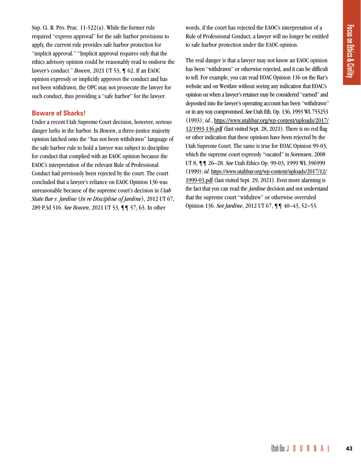Sup. Ct. R. Pro. Prac. 11-522(a). While the former rule required "express approval" for the safe harbor provisions to apply, the current rule provides safe harbor protection for "implicit approval." "Implicit approval requires only that the ethics advisory opinion could be reasonably read to endorse the lawyer's conduct." *Bowen*, 2021 UT 53, ¶ 62. If an EAOC opinion expressly or implicitly approves the conduct and has not been withdrawn, the OPC may not prosecute the lawyer for such conduct, thus providing a "safe harbor" for the lawyer.

#### **Beware of Sharks!**

Under a recent Utah Supreme Court decision, however, serious danger lurks in the harbor. In *Bowen*, a three-justice majority opinion latched onto the "has not been withdrawn" language of the safe harbor rule to hold a lawyer was subject to discipline for conduct that complied with an EAOC opinion because the EAOC's interpretation of the relevant Rule of Professional Conduct had previously been rejected by the court. The court concluded that a lawyer's reliance on EAOC Opinion 136 was unreasonable because of the supreme court's decision in *Utah State Bar v. Jardine* (*In re Discipline of Jardine*), 2012 UT 67, 289 P.3d 516. *See Bowen*, 2021 UT 53, ¶¶ 57, 63. In other

words, if the court has rejected the EAOC's interpretation of a Rule of Professional Conduct, a lawyer will no longer be entitled to safe harbor protection under the EAOC opinion.

The real danger is that a lawyer may not know an EAOC opinion has been "withdrawn" or otherwise rejected, and it can be difficult to tell. For example, you can read EOAC Opinion 136 on the Bar's website and on Westlaw without seeing any indication that EOAC's opinion on when a lawyer's retainer may be considered "earned" and deposited into the lawyer's operating account has been "withdrawn" or in any way compromised. *See* Utah Eth. Op. 136, 1993 WL 755253 (1993); *id*., https://www.utahbar.org/wp-content/uploads/2017/ 12/1993-136.pdf (last visited Sept. 28, 2021). There is no red flag or other indication that these opinions have been rejected by the Utah Supreme Court. The same is true for EOAC Opinion 99-03, which the supreme court expressly "vacated" in *Sorensen*, 2008 UT 8, ¶¶ 26–28. *See* Utah Ethics Op. 99-03, 1999 WL 396999 (1999); *id*. https://www.utahbar.org/wp-content/uploads/2017/12/ 1999-03.pdf (last visited Sept. 29, 2021). Even more alarming is the fact that you can read the *Jardine* decision and not understand that the supreme court "withdrew" or otherwise overruled Opinion 136. *See Jardine*, 2012 UT 67, ¶¶ 40–43, 52–53.